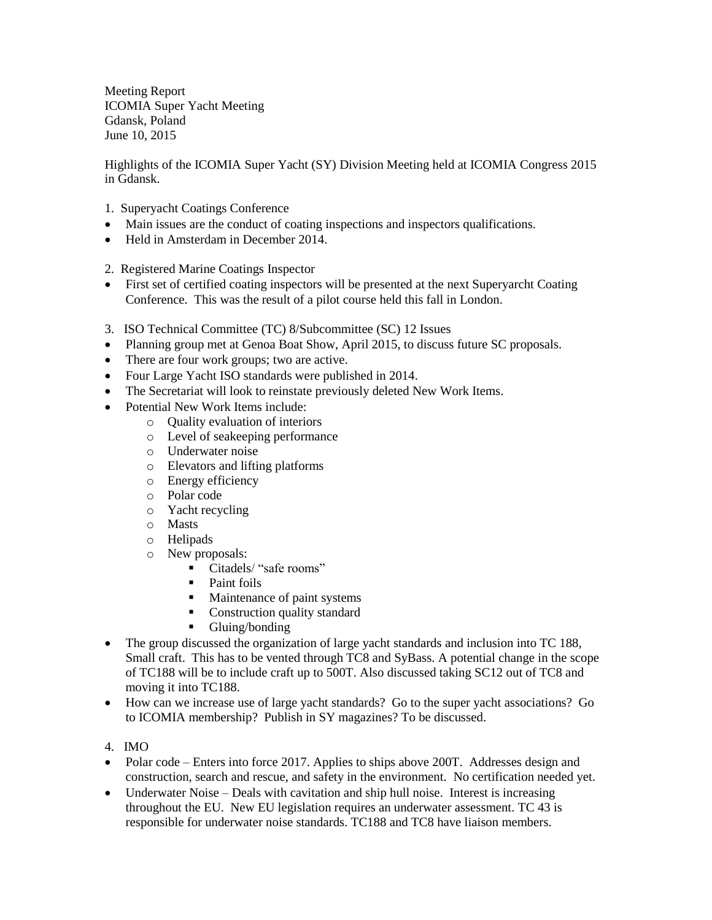Meeting Report ICOMIA Super Yacht Meeting Gdansk, Poland June 10, 2015

Highlights of the ICOMIA Super Yacht (SY) Division Meeting held at ICOMIA Congress 2015 in Gdansk.

- 1. Superyacht Coatings Conference
- Main issues are the conduct of coating inspections and inspectors qualifications.
- Held in Amsterdam in December 2014.
- 2. Registered Marine Coatings Inspector
- First set of certified coating inspectors will be presented at the next Superyarcht Coating Conference. This was the result of a pilot course held this fall in London.
- 3. ISO Technical Committee (TC) 8/Subcommittee (SC) 12 Issues
- Planning group met at Genoa Boat Show, April 2015, to discuss future SC proposals.
- There are four work groups; two are active.
- Four Large Yacht ISO standards were published in 2014.
- The Secretariat will look to reinstate previously deleted New Work Items.
- Potential New Work Items include:
	- o Quality evaluation of interiors
	- o Level of seakeeping performance
	- o Underwater noise
	- o Elevators and lifting platforms
	- o Energy efficiency
	- o Polar code
	- o Yacht recycling
	- o Masts
	- o Helipads
	- o New proposals:
		- Citadels/ "safe rooms"
		- Paint foils
		- Maintenance of paint systems
		- Construction quality standard
		- **Gluing/bonding**
- The group discussed the organization of large yacht standards and inclusion into TC 188, Small craft. This has to be vented through TC8 and SyBass. A potential change in the scope of TC188 will be to include craft up to 500T. Also discussed taking SC12 out of TC8 and moving it into TC188.
- How can we increase use of large yacht standards? Go to the super yacht associations? Go to ICOMIA membership? Publish in SY magazines? To be discussed.
- 4. IMO
- Polar code Enters into force 2017. Applies to ships above 200T. Addresses design and construction, search and rescue, and safety in the environment. No certification needed yet.
- Underwater Noise Deals with cavitation and ship hull noise. Interest is increasing throughout the EU. New EU legislation requires an underwater assessment. TC 43 is responsible for underwater noise standards. TC188 and TC8 have liaison members.